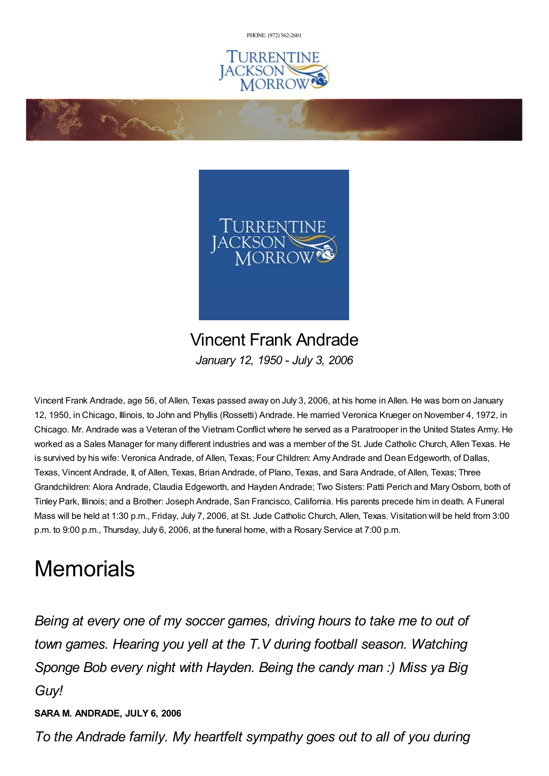PHONE: (972) [562-2601](tel:(972) 562-2601)





Vincent Frank Andrade *January 12, 1950 - July 3, 2006*

Vincent Frank Andrade, age 56, of Allen, Texas passed away on July 3, 2006, at his home in Allen. He was born on January 12, 1950, in Chicago, Illinois, to John and Phyllis (Rossetti) Andrade. He married Veronica Krueger on November 4, 1972, in Chicago. Mr. Andrade was a Veteran of the Vietnam Conflict where he served as a Paratrooper in the United States Army. He worked as a Sales Manager for many different industries and was a member of the St. Jude Catholic Church, Allen Texas. He is survived by his wife: Veronica Andrade, of Allen, Texas; Four Children: Amy Andrade and Dean Edgeworth, of Dallas, Texas, Vincent Andrade, II, of Allen, Texas, Brian Andrade, of Plano, Texas, and Sara Andrade, of Allen, Texas; Three Grandchildren: Alora Andrade, Claudia Edgeworth, and Hayden Andrade; Two Sisters: Patti Perich and MaryOsborn, both of Tinley Park, Illinois; and a Brother: Joseph Andrade, San Francisco, California. His parents precede him in death. A Funeral Mass will be held at 1:30 p.m., Friday, July 7, 2006, at St. Jude Catholic Church, Allen, Texas. Visitation will be held from 3:00 p.m. to 9:00 p.m., Thursday, July 6, 2006, at the funeral home, with a Rosary Service at 7:00 p.m.

## **Memorials**

*Being at every one of my soccer games, driving hours to take me to out of town games. Hearing you yell at the T.V during football season. Watching Sponge Bob every night with Hayden. Being the candy man :) Miss ya Big Guy!*

## **SARA M. ANDRADE, JULY 6, 2006**

*To the Andrade family. My heartfelt sympathy goes out to all of you during*